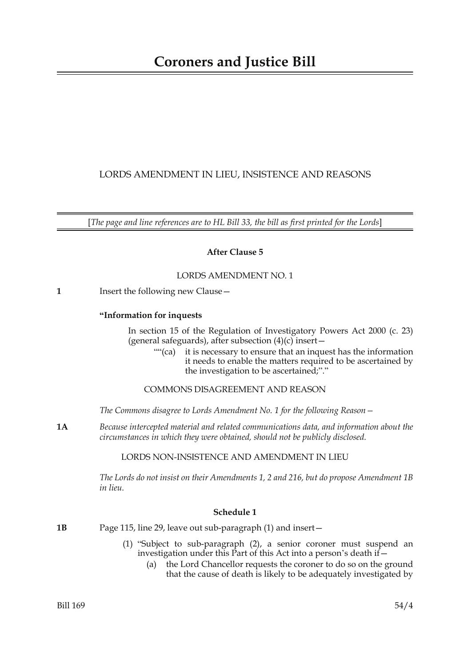# LORDS AMENDMENT IN LIEU, INSISTENCE AND REASONS

[*The page and line references are to HL Bill 33, the bill as first printed for the Lords*]

# **After Clause 5**

### LORDS AMENDMENT NO. 1

**1** Insert the following new Clause -

# **"Information for inquests**

In section 15 of the Regulation of Investigatory Powers Act 2000 (c. 23) (general safeguards), after subsection  $(4)(c)$  insert -

""(ca) it is necessary to ensure that an inquest has the information it needs to enable the matters required to be ascertained by the investigation to be ascertained;"."

# COMMONS DISAGREEMENT AND REASON

*The Commons disagree to Lords Amendment No. 1 for the following Reason—*

**1A** *Because intercepted material and related communications data, and information about the circumstances in which they were obtained, should not be publicly disclosed.*

### LORDS NON-INSISTENCE AND AMENDMENT IN LIEU

*The Lords do not insist on their Amendments 1, 2 and 216, but do propose Amendment 1B in lieu.*

### **Schedule 1**

- **1B** Page 115, line 29, leave out sub-paragraph (1) and insert—
	- (1) "Subject to sub-paragraph (2), a senior coroner must suspend an investigation under this Part of this Act into a person's death if  $-$ 
		- (a) the Lord Chancellor requests the coroner to do so on the ground that the cause of death is likely to be adequately investigated by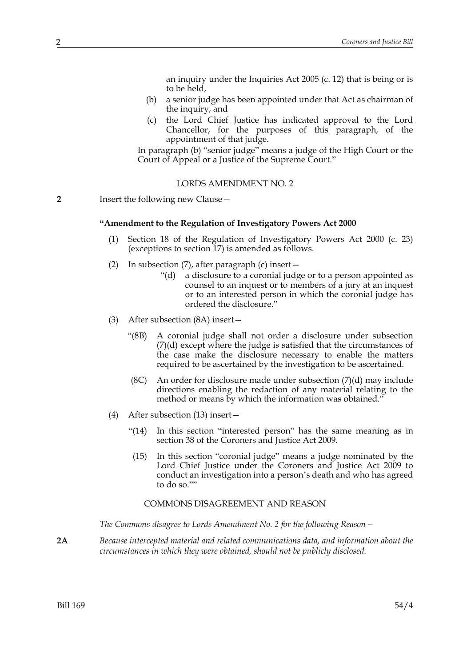an inquiry under the Inquiries Act 2005 (c. 12) that is being or is to be held,

- (b) a senior judge has been appointed under that Act as chairman of the inquiry, and
- (c) the Lord Chief Justice has indicated approval to the Lord Chancellor, for the purposes of this paragraph, of the appointment of that judge.

In paragraph (b) "senior judge" means a judge of the High Court or the Court of Appeal or a Justice of the Supreme Court."

#### LORDS AMENDMENT NO. 2

**2** Insert the following new Clause—

#### **"Amendment to the Regulation of Investigatory Powers Act 2000**

- (1) Section 18 of the Regulation of Investigatory Powers Act 2000 (c. 23) (exceptions to section 17) is amended as follows.
- (2) In subsection  $(7)$ , after paragraph  $(c)$  insert  $-$ 
	- "(d) a disclosure to a coronial judge or to a person appointed as counsel to an inquest or to members of a jury at an inquest or to an interested person in which the coronial judge has ordered the disclosure."
- (3) After subsection (8A) insert—
	- "(8B) A coronial judge shall not order a disclosure under subsection (7)(d) except where the judge is satisfied that the circumstances of the case make the disclosure necessary to enable the matters required to be ascertained by the investigation to be ascertained.
	- (8C) An order for disclosure made under subsection  $(7)(d)$  may include directions enabling the redaction of any material relating to the method or means by which the information was obtained."
- (4) After subsection (13) insert—
	- "(14) In this section "interested person" has the same meaning as in section 38 of the Coroners and Justice Act 2009.
	- (15) In this section "coronial judge" means a judge nominated by the Lord Chief Justice under the Coroners and Justice Act 2009 to conduct an investigation into a person's death and who has agreed to do so.""

#### COMMONS DISAGREEMENT AND REASON

*The Commons disagree to Lords Amendment No. 2 for the following Reason—*

**2A** *Because intercepted material and related communications data, and information about the circumstances in which they were obtained, should not be publicly disclosed.*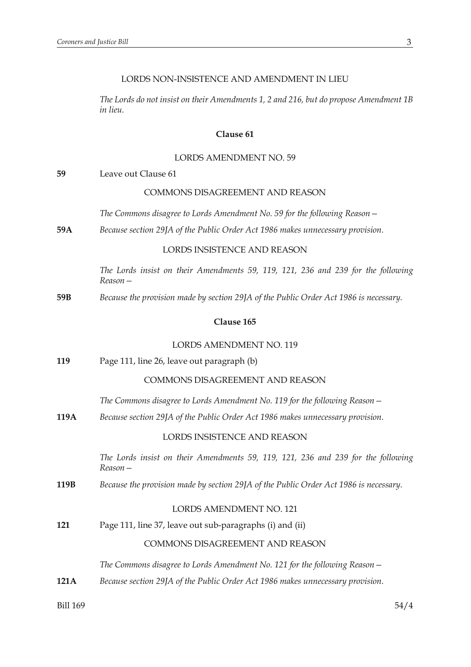#### LORDS NON-INSISTENCE AND AMENDMENT IN LIEU

*The Lords do not insist on their Amendments 1, 2 and 216, but do propose Amendment 1B in lieu.*

### **Clause 61**

#### LORDS AMENDMENT NO. 59

**59** Leave out Clause 61

#### COMMONS DISAGREEMENT AND REASON

- *The Commons disagree to Lords Amendment No. 59 for the following Reason—*
- **59A** *Because section 29JA of the Public Order Act 1986 makes unnecessary provision.*

## LORDS INSISTENCE AND REASON

*The Lords insist on their Amendments 59, 119, 121, 236 and 239 for the following Reason—*

**59B** *Because the provision made by section 29JA of the Public Order Act 1986 is necessary.*

#### **Clause 165**

#### LORDS AMENDMENT NO. 119

**119** Page 111, line 26, leave out paragraph (b)

# COMMONS DISAGREEMENT AND REASON

- *The Commons disagree to Lords Amendment No. 119 for the following Reason—*
- **119A** *Because section 29JA of the Public Order Act 1986 makes unnecessary provision.*

# LORDS INSISTENCE AND REASON

*The Lords insist on their Amendments 59, 119, 121, 236 and 239 for the following Reason—*

**119B** *Because the provision made by section 29JA of the Public Order Act 1986 is necessary.*

# LORDS AMENDMENT NO. 121

**121** Page 111, line 37, leave out sub-paragraphs (i) and (ii)

#### COMMONS DISAGREEMENT AND REASON

*The Commons disagree to Lords Amendment No. 121 for the following Reason—*

**121A** *Because section 29JA of the Public Order Act 1986 makes unnecessary provision.*

Bill 169 54/4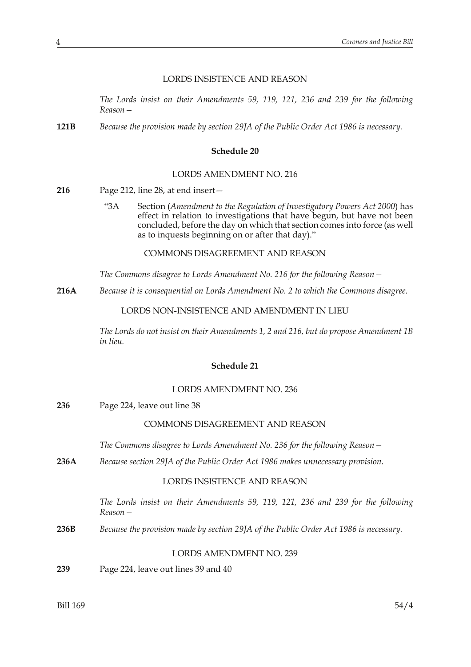#### LORDS INSISTENCE AND REASON

*The Lords insist on their Amendments 59, 119, 121, 236 and 239 for the following Reason—*

**121B** *Because the provision made by section 29JA of the Public Order Act 1986 is necessary.*

#### **Schedule 20**

#### LORDS AMENDMENT NO. 216

- **216** Page 212, line 28, at end insert—
	- "3A Section (*Amendment to the Regulation of Investigatory Powers Act 2000*) has effect in relation to investigations that have begun, but have not been concluded, before the day on which that section comes into force (as well as to inquests beginning on or after that day)."

COMMONS DISAGREEMENT AND REASON

*The Commons disagree to Lords Amendment No. 216 for the following Reason—*

**216A** *Because it is consequential on Lords Amendment No. 2 to which the Commons disagree.*

LORDS NON-INSISTENCE AND AMENDMENT IN LIEU

*The Lords do not insist on their Amendments 1, 2 and 216, but do propose Amendment 1B in lieu.*

## **Schedule 21**

#### LORDS AMENDMENT NO. 236

**236** Page 224, leave out line 38

#### COMMONS DISAGREEMENT AND REASON

*The Commons disagree to Lords Amendment No. 236 for the following Reason—*

**236A** *Because section 29JA of the Public Order Act 1986 makes unnecessary provision.*

#### LORDS INSISTENCE AND REASON

*The Lords insist on their Amendments 59, 119, 121, 236 and 239 for the following Reason—*

**236B** *Because the provision made by section 29JA of the Public Order Act 1986 is necessary.*

# LORDS AMENDMENT NO. 239

**239** Page 224, leave out lines 39 and 40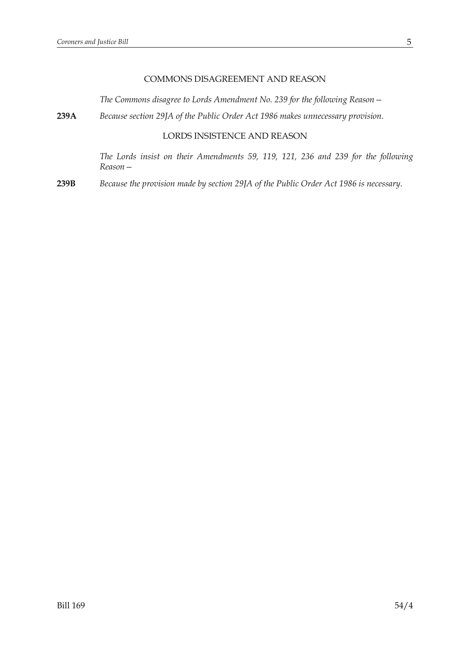# COMMONS DISAGREEMENT AND REASON

*The Commons disagree to Lords Amendment No. 239 for the following Reason—*

**239A** *Because section 29JA of the Public Order Act 1986 makes unnecessary provision.*

# LORDS INSISTENCE AND REASON

*The Lords insist on their Amendments 59, 119, 121, 236 and 239 for the following Reason—*

**239B** *Because the provision made by section 29JA of the Public Order Act 1986 is necessary.*